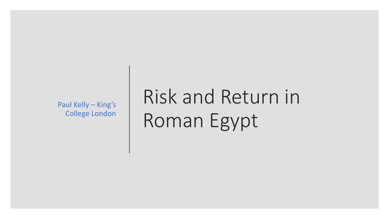Paul Kelly – King's College London

# Risk and Return in Roman Egypt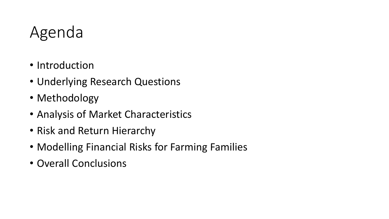## Agenda

- Introduction
- Underlying Research Questions
- Methodology
- Analysis of Market Characteristics
- Risk and Return Hierarchy
- Modelling Financial Risks for Farming Families
- Overall Conclusions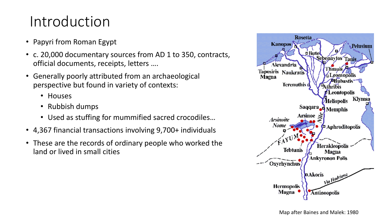### Introduction

- Papyri from Roman Egypt
- c. 20,000 documentary sources from AD 1 to 350, contracts, official documents, receipts, letters ….
- Generally poorly attributed from an archaeological perspective but found in variety of contexts:
	- Houses
	- Rubbish dumps
	- Used as stuffing for mummified sacred crocodiles…
- 4,367 financial transactions involving 9,700+ individuals
- These are the records of ordinary people who worked the land or lived in small cities

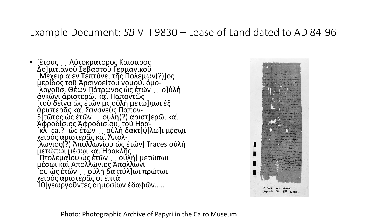### Example Document: *SB* VIII 9830 – Lease of Land dated to AD 84-96

• [ἔτους ္ Αὐτοκράτορος Καίσαρος Δο]μιτιανοῦ Σεβαστοῦ Γερμανικοῦ [Μεχεὶρ α ἐν Τεπτύνει τῆς Πολέμων(?)]ος μερίδος τοῦ Ἀρσινοείτου νομοῦ. ὁμο- [λογοῦσι Θέων Πάτρωνος ὡς ἐτῶν ̣ ̣ο]ὐλὴ ἀνκῶνι ἀριστερῶι κα̣ὶ Παποντῶς [τοῦ δεῖνα ὡς ἐτῶν μϛ οὐλὴ μετώ]π̣ωι ἐξ ἀριστερᾶς καὶ Σανσνεὺς Παπον-5[τῶτος ὡς ἐτῶν ̣ ̣οὐλη(?) ἀριστ]ερῶι καὶ Ἀφροδίσιος Ἀφροδισίου, τοῦ Ἡρα- $[\kappa\lambda]$ -ca.?- ὡς ἐτῷν  $\ldots$ οὐλὴ δακτ]ύ $[\lambda\omega]$ ι μέσωι χειρὸς ἀριστερᾶς καὶ Ἀπολ- [λώνιος(?) Ἀπολλωνίου ὡς ἐτῶν] Traces οὐλὴ μετώπωι μέσωι καὶ Ἡρακλῆς [Πτολεμαίου ὡς ἐτῶν ̣ ̣οὐλὴ] μετώπωι μέσωι καὶ Ἀπολλώνιος Ἀπολλωνί- [ου ὡς ἐτῶν ̣ ̣οὐλὴ δακτύλ]ωι πρώτωι χειρὸς ἀριστερᾶς οἱ ἑπτὰ 10[γεωργοῦντες δημοσίων ἐδαφῶν…..



Photo: Photographic Archive of Papyri in the Cairo Museum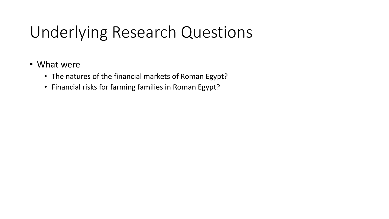## Underlying Research Questions

- What were
	- The natures of the financial markets of Roman Egypt?
	- Financial risks for farming families in Roman Egypt?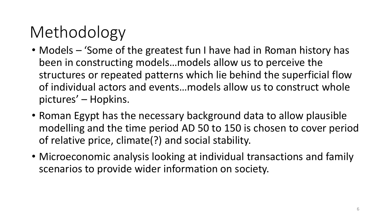# Methodology

- Models 'Some of the greatest fun I have had in Roman history has been in constructing models…models allow us to perceive the structures or repeated patterns which lie behind the superficial flow of individual actors and events…models allow us to construct whole pictures' – Hopkins.
- Roman Egypt has the necessary background data to allow plausible modelling and the time period AD 50 to 150 is chosen to cover period of relative price, climate(?) and social stability.
- Microeconomic analysis looking at individual transactions and family scenarios to provide wider information on society.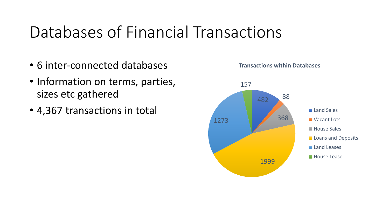## Databases of Financial Transactions

- 6 inter-connected databases
- Information on terms, parties, sizes etc gathered
- 4,367 transactions in total



#### **Transactions within Databases**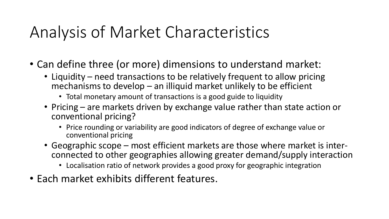## Analysis of Market Characteristics

- Can define three (or more) dimensions to understand market:
	- Liquidity need transactions to be relatively frequent to allow pricing mechanisms to develop – an illiquid market unlikely to be efficient
		- Total monetary amount of transactions is a good guide to liquidity
	- Pricing are markets driven by exchange value rather than state action or conventional pricing?
		- Price rounding or variability are good indicators of degree of exchange value or conventional pricing
	- Geographic scope most efficient markets are those where market is interconnected to other geographies allowing greater demand/supply interaction
		- Localisation ratio of network provides a good proxy for geographic integration
- Each market exhibits different features.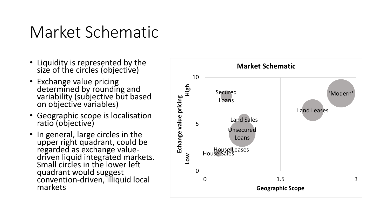### Market Schematic

- Liquidity is represented by the size of the circles (objective)
- Exchange value pricing determined by rounding and variability (subjective but based on objective variables)
- Geographic scope is localisation ratio (objective)
- In general, large circles in the upper right quadrant, could be regarded as exchange valuedriven liquid integrated markets. Small circles in the lower left quadrant would suggest convention-driven, illiquid local markets

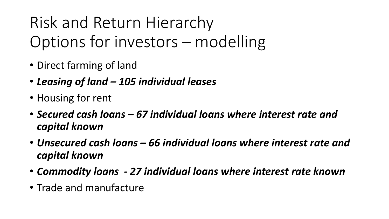Risk and Return Hierarchy Options for investors – modelling

- Direct farming of land
- *Leasing of land – 105 individual leases*
- Housing for rent
- *Secured cash loans – 67 individual loans where interest rate and capital known*
- *Unsecured cash loans – 66 individual loans where interest rate and capital known*
- *Commodity loans - 27 individual loans where interest rate known*
- Trade and manufacture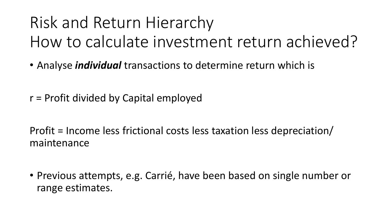## Risk and Return Hierarchy How to calculate investment return achieved?

- Analyse *individual* transactions to determine return which is
- r = Profit divided by Capital employed

Profit = Income less frictional costs less taxation less depreciation/ maintenance

• Previous attempts, e.g. Carrié, have been based on single number or range estimates.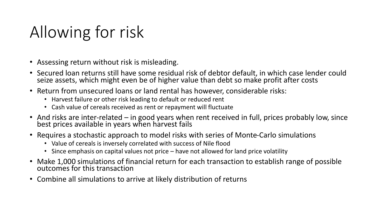## Allowing for risk

- Assessing return without risk is misleading.
- Secured loan returns still have some residual risk of debtor default, in which case lender could seize assets, which might even be of higher value than debt so make profit after costs
- Return from unsecured loans or land rental has however, considerable risks:
	- Harvest failure or other risk leading to default or reduced rent
	- Cash value of cereals received as rent or repayment will fluctuate
- And risks are inter-related in good years when rent received in full, prices probably low, since best prices available in years when harvest fails
- Requires a stochastic approach to model risks with series of Monte-Carlo simulations
	- Value of cereals is inversely correlated with success of Nile flood
	- Since emphasis on capital values not price have not allowed for land price volatility
- Make 1,000 simulations of financial return for each transaction to establish range of possible outcomes for this transaction
- Combine all simulations to arrive at likely distribution of returns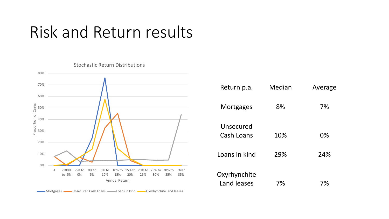### Risk and Return results



| . p.                        | .   | $1.11 - 1.97 -$ |
|-----------------------------|-----|-----------------|
| Mortgages                   | 8%  | 7%              |
| Unsecured<br>Cash Loans     | 10% | 0%              |
| Loans in kind               | 29% | 24%             |
| Oxyrhynchite<br>Land leases | 7%  | 7%              |

Return p.a. Median Average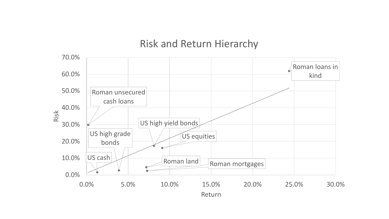### Risk and Return Hierarchy

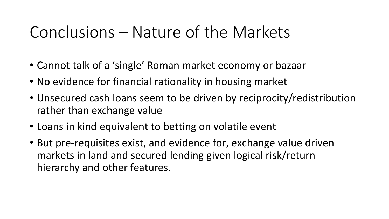### Conclusions – Nature of the Markets

- Cannot talk of a 'single' Roman market economy or bazaar
- No evidence for financial rationality in housing market
- Unsecured cash loans seem to be driven by reciprocity/redistribution rather than exchange value
- Loans in kind equivalent to betting on volatile event
- But pre-requisites exist, and evidence for, exchange value driven markets in land and secured lending given logical risk/return hierarchy and other features.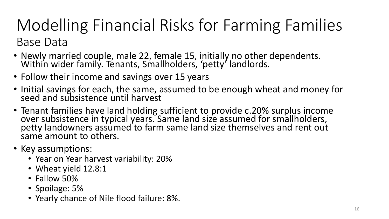### Modelling Financial Risks for Farming Families Base Data

- Newly married couple, male 22, female 15, initially no other dependents. Within wider family. Tenants, Smallholders, 'petty' landlords.
- Follow their income and savings over 15 years
- Initial savings for each, the same, assumed to be enough wheat and money for seed and subsistence until harvest
- Tenant families have land holding sufficient to provide c.20% surplus income over subsistence in typical years. Same land size assumed for smallholders, petty landowners assumed to farm same land size themselves and rent out same amount to others.
- Key assumptions:
	- Year on Year harvest variability: 20%
	- Wheat yield 12.8:1
	- Fallow 50%
	- Spoilage: 5%
	- Yearly chance of Nile flood failure: 8%.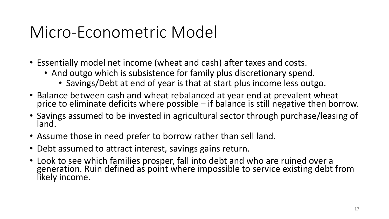### Micro-Econometric Model

- Essentially model net income (wheat and cash) after taxes and costs.
	- And outgo which is subsistence for family plus discretionary spend.
		- Savings/Debt at end of year is that at start plus income less outgo.
- Balance between cash and wheat rebalanced at year end at prevalent wheat price to eliminate deficits where possible – if balance is still negative then borrow.
- Savings assumed to be invested in agricultural sector through purchase/leasing of land.
- Assume those in need prefer to borrow rather than sell land.
- Debt assumed to attract interest, savings gains return.
- Look to see which families prosper, fall into debt and who are ruined over a generation. Ruin defined as point where impossible to service existing debt from likely income.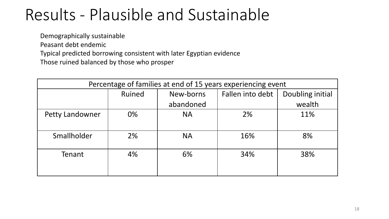### Results - Plausible and Sustainable

Demographically sustainable

- Peasant debt endemic
- Typical predicted borrowing consistent with later Egyptian evidence
- Those ruined balanced by those who prosper

| Percentage of families at end of 15 years experiencing event |        |           |                  |                  |  |  |  |
|--------------------------------------------------------------|--------|-----------|------------------|------------------|--|--|--|
|                                                              | Ruined | New-borns | Fallen into debt | Doubling initial |  |  |  |
|                                                              |        | abandoned |                  | wealth           |  |  |  |
| <b>Petty Landowner</b>                                       | 0%     | <b>NA</b> | 2%               | 11%              |  |  |  |
|                                                              |        |           |                  |                  |  |  |  |
| Smallholder                                                  | 2%     | <b>NA</b> | 16%              | 8%               |  |  |  |
|                                                              |        |           |                  |                  |  |  |  |
| Tenant                                                       | 4%     | 6%        | 34%              | 38%              |  |  |  |
|                                                              |        |           |                  |                  |  |  |  |
|                                                              |        |           |                  |                  |  |  |  |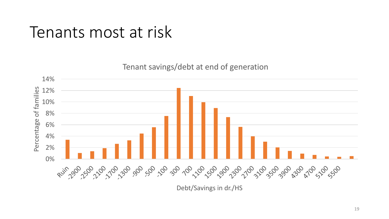### Tenants most at risk

Tenant savings/debt at end of generation



Debt/Savings in dr./HS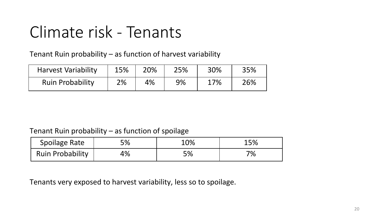## Climate risk - Tenants

Tenant Ruin probability – as function of harvest variability

| <b>Harvest Variability</b> | 15% | 20% | 25% | 30% | 35% |
|----------------------------|-----|-----|-----|-----|-----|
| <b>Ruin Probability</b>    | 2%  | 4%  | 9%  | 17% | 26% |

#### Tenant Ruin probability – as function of spoilage

| <b>Spoilage Rate</b>    | 5% | 10% | 15% |
|-------------------------|----|-----|-----|
| <b>Ruin Probability</b> | 4% | 5%  | 7%  |

Tenants very exposed to harvest variability, less so to spoilage.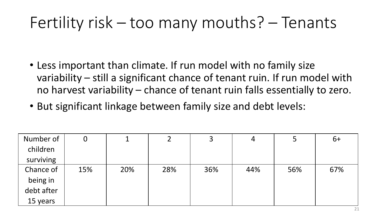## Fertility risk – too many mouths? – Tenants

- Less important than climate. If run model with no family size variability – still a significant chance of tenant ruin. If run model with no harvest variability – chance of tenant ruin falls essentially to zero.
- But significant linkage between family size and debt levels:

| Number of  | O   |     |     | 3   | 4   |     | $6+$ |
|------------|-----|-----|-----|-----|-----|-----|------|
| children   |     |     |     |     |     |     |      |
| surviving  |     |     |     |     |     |     |      |
| Chance of  | 15% | 20% | 28% | 36% | 44% | 56% | 67%  |
| being in   |     |     |     |     |     |     |      |
| debt after |     |     |     |     |     |     |      |
| 15 years   |     |     |     |     |     |     |      |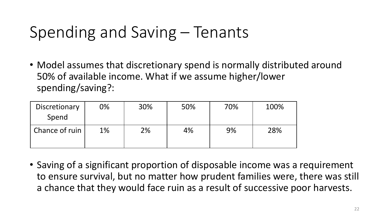## Spending and Saving – Tenants

• Model assumes that discretionary spend is normally distributed around 50% of available income. What if we assume higher/lower spending/saving?:

| Discretionary<br>Spend | 0% | 30% | 50% | 70% | 100% |
|------------------------|----|-----|-----|-----|------|
| Chance of ruin         | 1% | 2%  | 4%  | 9%  | 28%  |

• Saving of a significant proportion of disposable income was a requirement to ensure survival, but no matter how prudent families were, there was still a chance that they would face ruin as a result of successive poor harvests.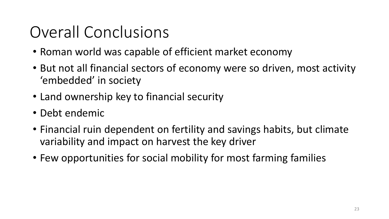## Overall Conclusions

- Roman world was capable of efficient market economy
- But not all financial sectors of economy were so driven, most activity 'embedded' in society
- Land ownership key to financial security
- Debt endemic
- Financial ruin dependent on fertility and savings habits, but climate variability and impact on harvest the key driver
- Few opportunities for social mobility for most farming families